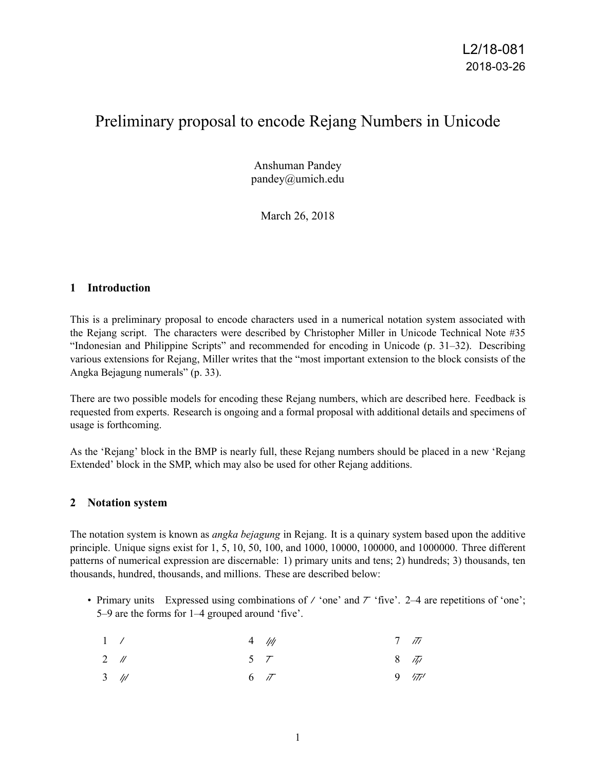# Preliminary proposal to encode Rejang Numbers in Unicode

Anshuman Pandey pandey@umich.edu

March 26, 2018

## **1 Introduction**

This is a preliminary proposal to encode characters used in a numerical notation system associated with the Rejang script. The characters were described by Christopher Miller in Unicode Technical Note #35 "Indonesian and Philippine Scripts" and recommended for encoding in Unicode (p. 31–32). Describing various extensions for Rejang, Miller writes that the "most important extension to the block consists of the Angka Bejagung numerals" (p. 33).

There are two possible models for encoding these Rejang numbers, which are described here. Feedback is requested from experts. Research is ongoing and a formal proposal with additional details and specimens of usage is forthcoming.

As the 'Rejang' block in the BMP is nearly full, these Rejang numbers should be placed in a new 'Rejang Extended' block in the SMP, which may also be used for other Rejang additions.

## **2 Notation system**

The notation system is known as *angka bejagung* in Rejang. It is a quinary system based upon the additive principle. Unique signs exist for 1, 5, 10, 50, 100, and 1000, 10000, 100000, and 1000000. Three different patterns of numerical expression are discernable: 1) primary units and tens; 2) hundreds; 3) thousands, ten thousands, hundred, thousands, and millions. These are described below:

• Primary units Expressed using combinations of  $\ell$  'one' and  $\ell$  'five'. 2–4 are repetitions of 'one'; 5–9 are the forms for 1–4 grouped around 'five'.

| 1 /    |           | $4$ /// | $7 \pi$        |
|--------|-----------|---------|----------------|
| $2$ // | $5\quad7$ |         | $8\frac{7}{7}$ |

 $3 / l$  $6\sqrt{7}$  $9\frac{1}{77}$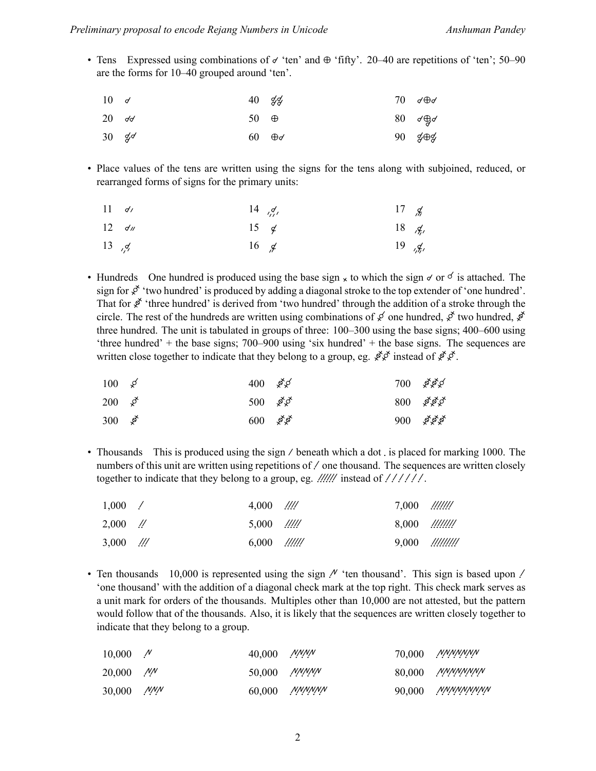• Tens Expressed using combinations of  $\sigma$  'ten' and  $\Theta$  'fifty'. 20–40 are repetitions of 'ten'; 50–90 are the forms for 10–40 grouped around 'ten'.

| $10 \leq \epsilon$ | $40\frac{9}{9}$          |  | 70 $\sigma \oplus \sigma$                 |
|--------------------|--------------------------|--|-------------------------------------------|
| $20 \, d \, d$     | 50 $\oplus$              |  | 80 $d\oplus d$                            |
| $30 \frac{9}{3}$   | $60 \quad \oplus \sigma$ |  | $90 \quad \cancel{\#} \oplus \cancel{\#}$ |

• Place values of the tens are written using the signs for the tens along with subjoined, reduced, or rearranged forms of signs for the primary units:

| $11 \frac{d}{ }$ | $14 \frac{q}{\sqrt{2}}$ | 17 $\cancel{f}$ |                         |
|------------------|-------------------------|-----------------|-------------------------|
| $12 \frac{d}{d}$ | 15 $\neq$               |                 | 18 $\frac{1}{2}$        |
| 13 $, 4$         | 16 $\cancel{\epsilon}$  |                 | 19 $\frac{g}{\sqrt{n}}$ |

• Hundreds One hundred is produced using the base sign  $\times$  to which the sign  $\sigma$  or  $\sigma$  is attached. The sign for  $\chi^2$  'two hundred' is produced by adding a diagonal stroke to the top extender of 'one hundred'. That for  $\oint$  'three hundred' is derived from 'two hundred' through the addition of a stroke through the circle. The rest of the hundreds are written using combinations of  $\cancel{\mathcal{S}}$  one hundred,  $\cancel{\mathcal{S}}$  two hundred,  $\cancel{\mathcal{S}}$ three hundred. The unit is tabulated in groups of three: 100–300 using the base signs; 400–600 using 'three hundred' + the base signs; 700–900 using 'six hundred' + the base signs. The sequences are written close together to indicate that they belong to a group, eg.  $\oint \phi$  instead of  $\oint \phi$ .

| $100 \times$               | 400 $\cancel{\mathcal{Z}}$ |  | $700 \times 100$  |
|----------------------------|----------------------------|--|-------------------|
| 200 $\cancel{x}$           | 500 $\cancel{\mathcal{E}}$ |  | $800 \approx 100$ |
| 300 $\cancel{\mathcal{E}}$ | $600 \approx$ \$           |  | $900 \, 88$ \$    |

• Thousands This is produced using the sign / beneath which a dot, is placed for marking 1000. The numbers of this unit are written using repetitions of / one thousand. The sequences are written closely together to indicate that they belong to a group, eg.  $\frac{1}{1}$  instead of  $\frac{1}{1}$ .

| 1,000      |               | $4,000$ $\frac{1}{10}$            | $7,000$ $\frac{\frac{1}{100}}{100}$ |           |
|------------|---------------|-----------------------------------|-------------------------------------|-----------|
| $2,000$ // |               | $5,000$ $\frac{\frac{1}{11}}{11}$ | $8,000$ $\frac{\frac{1}{100}}{100}$ |           |
| 3,000      | $\frac{1}{2}$ | $6,000$ $\frac{1}{100}$           | 9,000                               | !!!!!!!!! |

• Ten thousands 10,000 is represented using the sign  $\mu$  'ten thousand'. This sign is based upon / 'one thousand' with the addition of a diagonal check mark at the top right. This check mark serves as a unit mark for orders of the thousands. Multiples other than 10,000 are not attested, but the pattern would follow that of the thousands. Also, it is likely that the sequences are written closely together to indicate that they belong to a group.

| 10,000 $\mathcal{N}$ | $40,000$ MMM   |                       | 70,000 MMMMMM          |
|----------------------|----------------|-----------------------|------------------------|
| $20,000$ MM          | $50,000$ MNNNN |                       | $80,\!000$ MMMMMMM     |
| 30,000 MM            |                | $60,000$ <i>MMMMM</i> | 90,000 <i>MMMMMMMN</i> |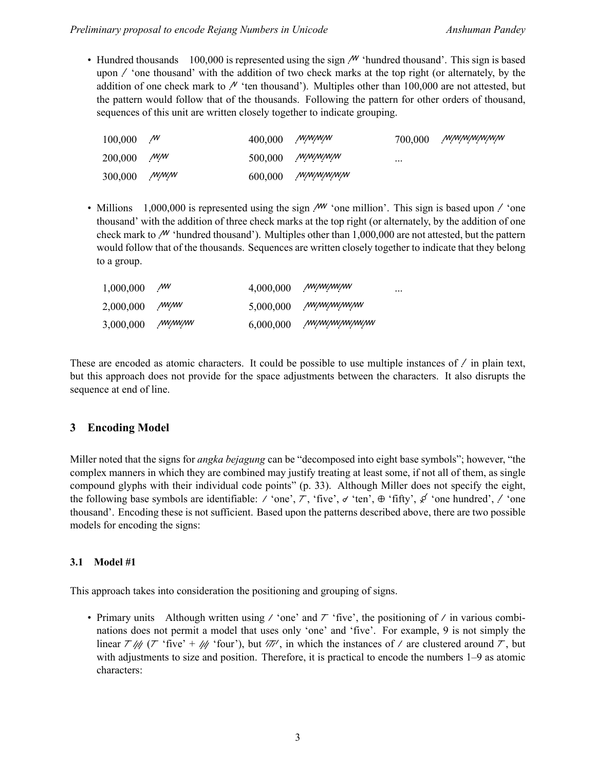• Hundred thousands 100,000 is represented using the sign  $\mathcal{M}$  'hundred thousand'. This sign is based upon  $\ell$  'one thousand' with the addition of two check marks at the top right (or alternately, by the addition of one check mark to  $\ell'$  'ten thousand'). Multiples other than 100,000 are not attested, but the pattern would follow that of the thousands. Following the pattern for other orders of thousand, sequences of this unit are written closely together to indicate grouping.

| 100,000 | $\mathcal{M}$ | $400,000$ <i>MMMM</i> |                  | 700,000  | <i>wwwwwww</i> |
|---------|---------------|-----------------------|------------------|----------|----------------|
| 200,000 | /W/W          |                       | $500,000$ MMMMM  | $\cdots$ |                |
| 300,000 | <i>NNNN</i>   |                       | $600,000$ MMMMMM |          |                |

• Millions 1,000,000 is represented using the sign  $\mathcal{M}$  'one million'. This sign is based upon  $\mathcal{N}$  'one thousand' with the addition of three check marks at the top right (or alternately, by the addition of one check mark to  $\mathcal{M}'$  'hundred thousand'). Multiples other than 1,000,000 are not attested, but the pattern would follow that of the thousands. Sequences are written closely together to indicate that they belong to a group.

| 1,000,000 | МW     | 4,000,000 | /W/W/W/W      | $\cdots$ |
|-----------|--------|-----------|---------------|----------|
| 2,000,000 | /w//w  | 5,000,000 | ,www.ww.ww    |          |
| 3,000,000 | /w/w/w | 6,000,000 | /w/w/w/w/w/w/ |          |

These are encoded as atomic characters. It could be possible to use multiple instances of  $\ell$  in plain text, but this approach does not provide for the space adjustments between the characters. It also disrupts the sequence at end of line.

## **3 Encoding Model**

Miller noted that the signs for *angka bejagung* can be "decomposed into eight base symbols"; however, "the complex manners in which they are combined may justify treating at least some, if not all of them, as single compound glyphs with their individual code points" (p. 33). Although Miller does not specify the eight, the following base symbols are identifiable:  $\ell$  'one',  $\ell$ , 'five',  $\sigma$  'ten',  $\Theta$  'fifty',  $\phi$  'one hundred',  $\ell$  'one thousand'. Encoding these is not sufficient. Based upon the patterns described above, there are two possible models for encoding the signs:

## **3.1 Model #1**

This approach takes into consideration the positioning and grouping of signs.

• Primary units Although written using  $\ell$  'one' and  $\tau$  'five', the positioning of  $\ell$  in various combinations does not permit a model that uses only 'one' and 'five'. For example, 9 is not simply the linear  $\tau / \psi$  ( $\tau$  'five' +  $\psi$  'four'), but  $\sqrt{\pi}$ , in which the instances of / are clustered around  $\tau$ , but with adjustments to size and position. Therefore, it is practical to encode the numbers 1–9 as atomic characters: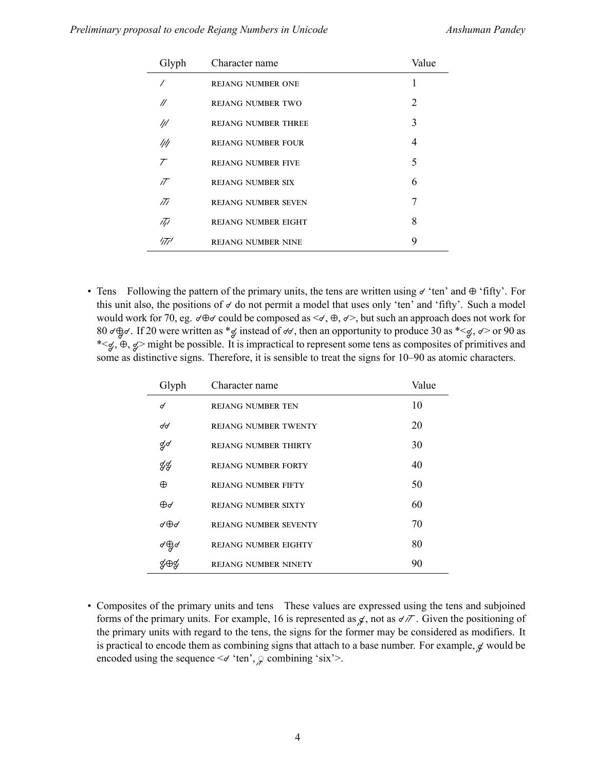| Glyph     | Character name             | Value                       |
|-----------|----------------------------|-----------------------------|
|           | <b>REJANG NUMBER ONE</b>   |                             |
| //        | <b>REJANG NUMBER TWO</b>   | $\mathcal{D}_{\mathcal{L}}$ |
|           | <b>REJANG NUMBER THREE</b> | 3                           |
| ////      | <b>REJANG NUMBER FOUR</b>  | 4                           |
| $\tau$    | <b>REJANG NUMBER FIVE</b>  | 5                           |
| $\bar{U}$ | <b>REJANG NUMBER SIX</b>   | 6                           |
| īTī       | <b>REJANG NUMBER SEVEN</b> | 7                           |
| 1/1       | <b>REJANG NUMBER EIGHT</b> | 8                           |
| יודוי     | <b>REJANG NUMBER NINE</b>  | 9                           |

• Tens Following the pattern of the primary units, the tens are written using  $\sigma'$  ten' and  $\Theta'$  fifty'. For this unit also, the positions of  $d$  do not permit a model that uses only 'ten' and 'fifty'. Such a model would work for 70, eg.  $\sigma \oplus \sigma$  could be composed as  $\prec \sigma$ ,  $\oplus$ ,  $\sigma >$ , but such an approach does not work for 80  $\sigma$  $\oplus$  $\sigma$ . If 20 were written as \*  $\sigma$  instead of  $\sigma$ , then an opportunity to produce 30 as \*  $\leq$ ,  $\sigma$  > or 90 as \*< $\leq$ ,  $\oplus$ ,  $\leq$ > might be possible. It is impractical to represent some tens as composites of primitives and some as distinctive signs. Therefore, it is sensible to treat the signs for  $10-90$  as atomic characters.

| Glyph    | Character name               | Value |
|----------|------------------------------|-------|
| d        | <b>REJANG NUMBER TEN</b>     | 10    |
| dd       | <b>REJANG NUMBER TWENTY</b>  | 20    |
| ą√       | <b>REJANG NUMBER THIRTY</b>  | 30    |
| ф        | <b>REJANG NUMBER FORTY</b>   | 40    |
| ⊕        | <b>REJANG NUMBER FIFTY</b>   | 50    |
| ⊕⊄       | <b>REJANG NUMBER SIXTY</b>   | 60    |
| √⊕∂      | <b>REJANG NUMBER SEVENTY</b> | 70    |
| ४⊕ू<br>् | <b>REJANG NUMBER EIGHTY</b>  | 80    |
|          | <b>REJANG NUMBER NINETY</b>  | 90    |

• Composites of the primary units and tens These values are expressed using the tens and subjoined forms of the primary units. For example, 16 is represented as  $\chi$ , not as  $\sigma/\tau$ . Given the positioning of the primary units with regard to the tens, the signs for the former may be considered as modifiers. It is practical to encode them as combining signs that attach to a base number. For example,  $\chi$  would be encoded using the sequence  $\leq d$  'ten',  $\circ$  combining 'six'>.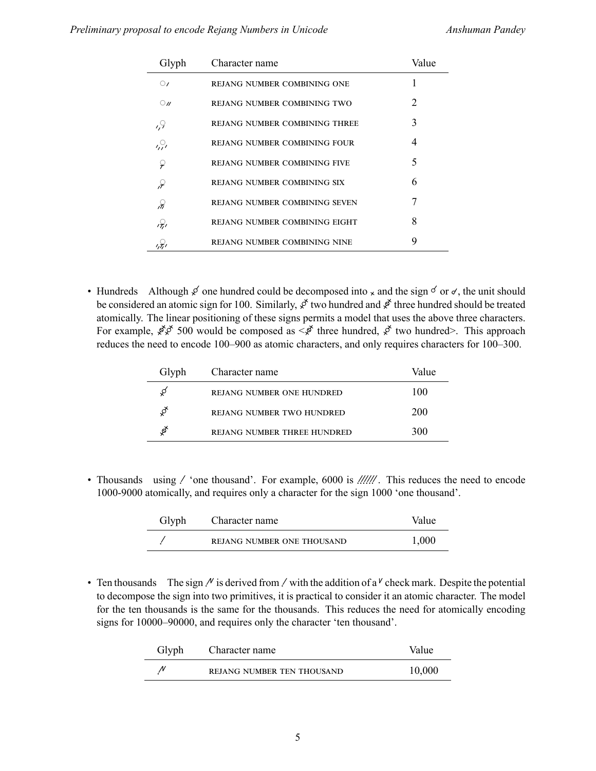| Glyph      | Character name                       | Value |
|------------|--------------------------------------|-------|
| $\circ$    | REJANG NUMBER COMBINING ONE          |       |
| $\bigcirc$ | REJANG NUMBER COMBINING TWO          | 2     |
| 1,9        | <b>REJANG NUMBER COMBINING THREE</b> | 3     |
| 2          | REJANG NUMBER COMBINING FOUR         | 4     |
| ာ          | <b>REJANG NUMBER COMBINING FIVE</b>  | 5     |
| ₽          | REJANG NUMBER COMBINING SIX          | 6     |
| Ж          | <b>REJANG NUMBER COMBINING SEVEN</b> | 7     |
| ,Ş,        | REJANG NUMBER COMBINING EIGHT        | 8     |
|            | REJANG NUMBER COMBINING NINE         | 9     |

• Hundreds Although  $\cancel{\epsilon}$  one hundred could be decomposed into  $\times$  and the sign  $\acute{\circ}$  or  $\acute{\circ}$ , the unit should be considered an atomic sign for 100. Similarly,  $\vec{x}$  two hundred and  $\vec{x}$  three hundred should be treated atomically. The linear positioning of these signs permits a model that uses the above three characters. For example,  $\oint \oint$  500 would be composed as  $\leq \oint$  three hundred,  $\oint$  two hundred>. This approach reduces the need to encode 100–900 as atomic characters, and only requires characters for 100–300.

| Glyph | Character name                   | Value |
|-------|----------------------------------|-------|
|       | REJANG NUMBER ONE HUNDRED        | 100   |
|       | <b>REJANG NUMBER TWO HUNDRED</b> | 200   |
|       | REJANG NUMBER THREE HUNDRED      | 300   |

• Thousands using 'one thousand'. For example, 6000 is . This reduces the need to encode 1000-9000 atomically, and requires only a character for the sign 1000 'one thousand'.

| Glyph | Character name             | Value |
|-------|----------------------------|-------|
|       | REJANG NUMBER ONE THOUSAND | 1,000 |

• Ten thousands The sign  $\ell$  is derived from  $\ell$  with the addition of a  $\ell$  check mark. Despite the potential to decompose the sign into two primitives, it is practical to consider it an atomic character. The model for the ten thousands is the same for the thousands. This reduces the need for atomically encoding signs for 10000–90000, and requires only the character 'ten thousand'.

| Glyph | Character name             | Value  |
|-------|----------------------------|--------|
|       | REJANG NUMBER TEN THOUSAND | 10,000 |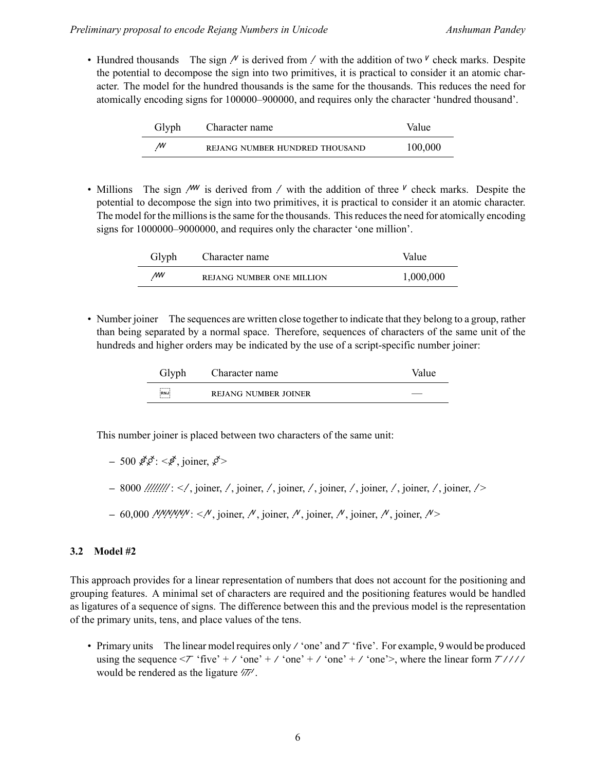• Hundred thousands The sign  $\ell$  is derived from  $\ell$  with the addition of two  $\ell$  check marks. Despite the potential to decompose the sign into two primitives, it is practical to consider it an atomic character. The model for the hundred thousands is the same for the thousands. This reduces the need for atomically encoding signs for 100000–900000, and requires only the character 'hundred thousand'.

| Glyph | Character name                 | Value   |
|-------|--------------------------------|---------|
| W     | REIANG NUMBER HUNDRED THOUSAND | 100,000 |

• Millions The sign  $\mu$  is derived from  $\mu$  with the addition of three  $\mu$  check marks. Despite the potential to decompose the sign into two primitives, it is practical to consider it an atomic character. The model for the millions is the same for the thousands. This reduces the need for atomically encoding signs for 1000000–9000000, and requires only the character 'one million'.

| Glyph | Character name            | Value     |
|-------|---------------------------|-----------|
| МW    | REIANG NUMBER ONE MILLION | 1,000,000 |

• Number joiner The sequences are written close together to indicate that they belong to a group, rather than being separated by a normal space. Therefore, sequences of characters of the same unit of the hundreds and higher orders may be indicated by the use of a script-specific number joiner:

| Glyph                               | Character name              | Value |
|-------------------------------------|-----------------------------|-------|
| ,,,,,,<br><b>RNJ</b><br>$1 - 1 - 1$ | <b>REJANG NUMBER JOINER</b> |       |

This number joiner is placed between two characters of the same unit:

- $-500 \cancel{\cancel{\mathcal{E}}} \cancel{\cancel{\mathcal{E}}}$ :  $\lt \cancel{\mathcal{E}}$ , joiner,  $\cancel{\mathcal{E}}$
- **–** 8000 :////////: </, joiner, /, joiner, /, joiner, /, joiner, /, joiner, /, joiner, />
- $-60,000$  *MMMM: <M*, joiner, M, joiner, M, joiner, M, joiner, M = 0.000 MMM: <M, ioner,  $\sim$

### **3.2 Model #2**

This approach provides for a linear representation of numbers that does not account for the positioning and grouping features. A minimal set of characters are required and the positioning features would be handled as ligatures of a sequence of signs. The difference between this and the previous model is the representation of the primary units, tens, and place values of the tens.

• Primary units The linear model requires only  $\ell$  'one' and  $\ell$  'five'. For example, 9 would be produced using the sequence  $\langle \mathcal{T}^*$  'five' +  $\mathcal{N}$  'one' +  $\mathcal{N}$ 'one' +  $\mathcal{N}$ 'one' >, where the linear form  $\mathcal{T}$ //// would be rendered as the ligature  $\frac{1}{\sqrt{7}}$ .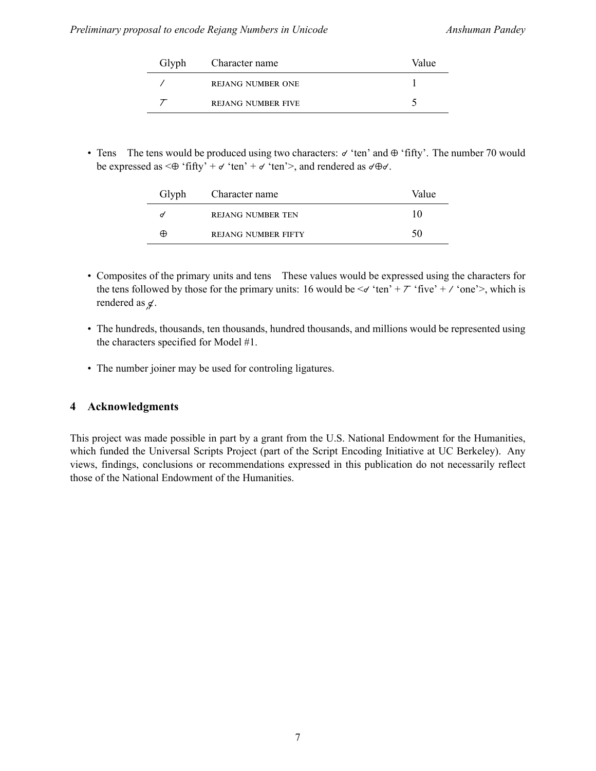| Glyph | Character name            | Value |
|-------|---------------------------|-------|
|       | <b>REJANG NUMBER ONE</b>  |       |
|       | <b>REJANG NUMBER FIVE</b> |       |

• Tens The tens would be produced using two characters:  $\sigma'$  ten' and  $\Theta'$  fifty'. The number 70 would be expressed as  $\leq \oplus$  'fifty' +  $\check{\sigma}$  'ten' +  $\check{\sigma}$  'ten' >, and rendered as  $\check{\sigma} \oplus \check{\sigma}$ .

| Glyph | Character name             | Value |
|-------|----------------------------|-------|
|       | <b>REJANG NUMBER TEN</b>   | 10    |
| ⊕     | <b>REIANG NUMBER FIFTY</b> | 50    |

- Composites of the primary units and tens These values would be expressed using the characters for the tens followed by those for the primary units: 16 would be  $\leq d$  'ten' +  $\tau$  'five' +  $\prime$  'one'>, which is rendered as  $\cancel{q}$ .
- The hundreds, thousands, ten thousands, hundred thousands, and millions would be represented using the characters specified for Model #1.
- The number joiner may be used for controling ligatures.

## **4 Acknowledgments**

This project was made possible in part by a grant from the U.S. National Endowment for the Humanities, which funded the Universal Scripts Project (part of the Script Encoding Initiative at UC Berkeley). Any views, findings, conclusions or recommendations expressed in this publication do not necessarily reflect those of the National Endowment of the Humanities.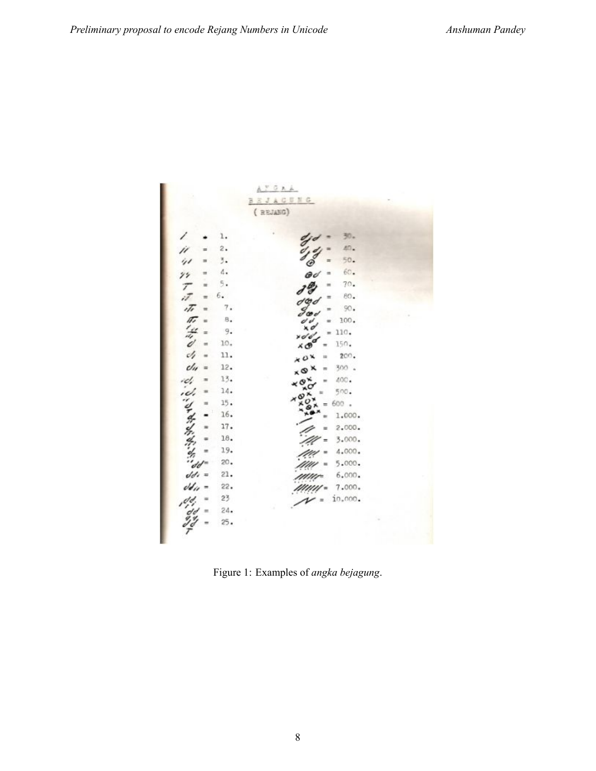|                       |     | $A \times G$ $A$                                     |  |
|-----------------------|-----|------------------------------------------------------|--|
|                       |     | <b>EJACUNG</b><br>в                                  |  |
|                       |     | (REJASG)                                             |  |
|                       |     |                                                      |  |
| 1                     | 1.  | 30.                                                  |  |
|                       | 2.  | 40.                                                  |  |
| 41                    | 3.  | 50.<br>$=$<br>℗                                      |  |
| $\gamma\gamma$        | 4.  | 60.<br>ød                                            |  |
| $\tau$<br>$\equiv$    | 5.  | 70.<br>m                                             |  |
| ú<br>$=$              | 6.  | 80.                                                  |  |
| ıTı<br>$\blacksquare$ | 7.  | 90.<br>$\mathcal{S}$ co c                            |  |
| 历经<br>$\equiv$        | в.  | 100.<br>$\equiv$                                     |  |
| $=$                   | 9.  | 110.<br>$\blacksquare$<br>$\frac{1}{2}$              |  |
| ď<br>$\blacksquare$   | 10. | 150.<br>хÓ                                           |  |
| J,<br>ü               | 11. | 200.<br>$0^{\times}$<br>m                            |  |
| c/u<br>$\equiv$       | 12. | 300 .<br>$\times$<br>$\equiv$                        |  |
|                       | 13. | 400.<br>$\times$ $\sigma$ $\times$<br>$\overline{ }$ |  |
|                       | 14. | ×О<br>500.                                           |  |
|                       | 15. | 600 .<br>m                                           |  |
| LETTHERMAN            | 16. | 1.000.                                               |  |
|                       | 17. | 2.000.                                               |  |
|                       | 18. | 3.000.                                               |  |
|                       | 19. | 4.000.                                               |  |
|                       | 20. | 5.000.                                               |  |
| $dd =$                | 21. | 6.000.                                               |  |
| dd <sub>ii</sub> =    | 22. | 7.000.                                               |  |
| dd.                   | 23  | 10,000.<br>$\equiv$                                  |  |
| $dd =$                | 24. |                                                      |  |
|                       | 25. |                                                      |  |

Figure 1: Examples of *angka bejagung*.